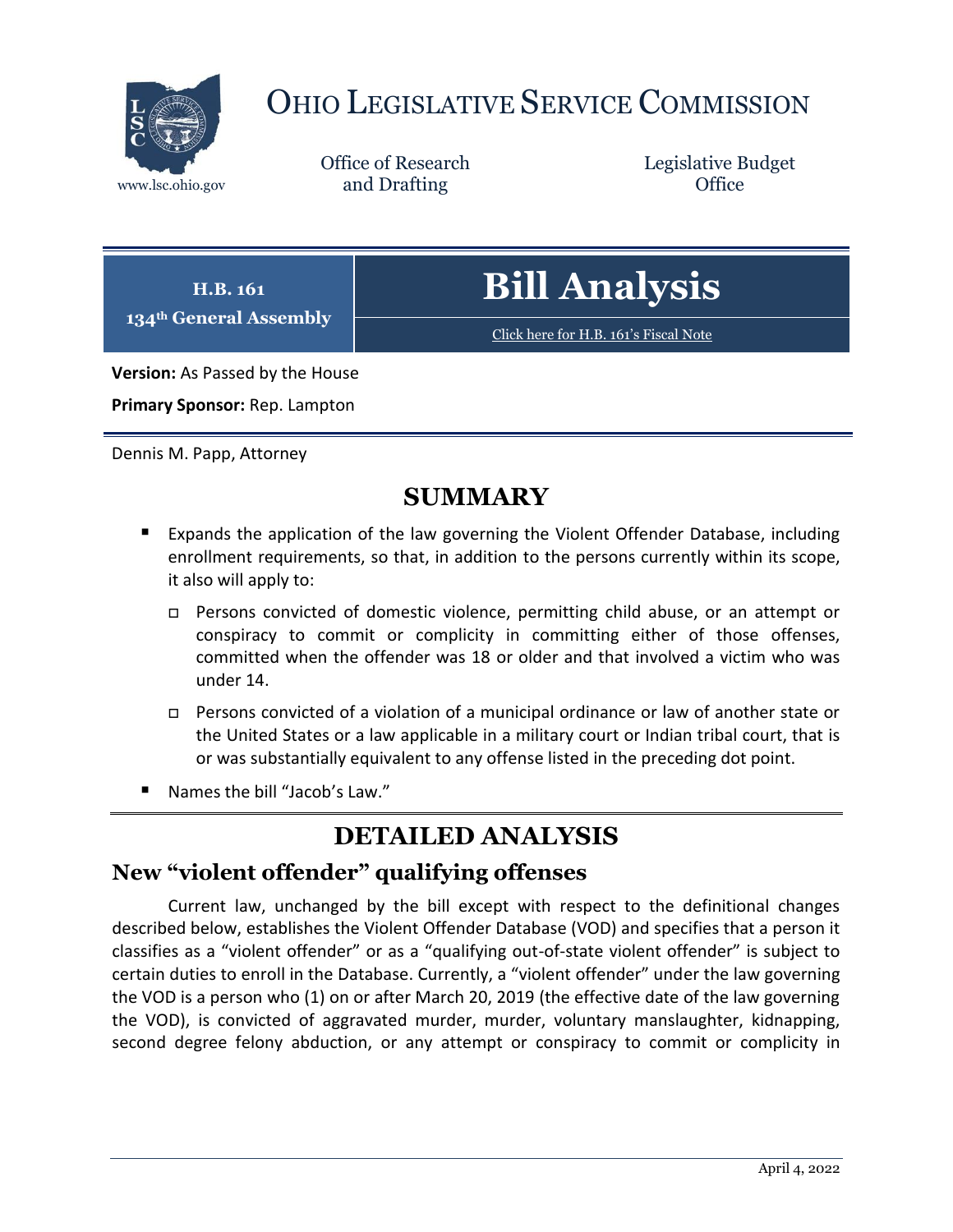

# OHIO LEGISLATIVE SERVICE COMMISSION

Office of Research www.lsc.ohio.gov **and Drafting Office** 

Legislative Budget

| H.B. 161<br>134 <sup>th</sup> General Assembly | <b>Bill Analysis</b>                  |
|------------------------------------------------|---------------------------------------|
|                                                | Click here for H.B. 161's Fiscal Note |
| Version: As Passed by the House                |                                       |

**Primary Sponsor:** Rep. Lampton

Dennis M. Papp, Attorney

# **SUMMARY**

- Expands the application of the law governing the Violent Offender Database, including enrollment requirements, so that, in addition to the persons currently within its scope, it also will apply to:
	- Persons convicted of domestic violence, permitting child abuse, or an attempt or conspiracy to commit or complicity in committing either of those offenses, committed when the offender was 18 or older and that involved a victim who was under 14.
	- Persons convicted of a violation of a municipal ordinance or law of another state or the United States or a law applicable in a military court or Indian tribal court, that is or was substantially equivalent to any offense listed in the preceding dot point.
- Names the bill "Jacob's Law."

# **DETAILED ANALYSIS**

# **New "violent offender" qualifying offenses**

Current law, unchanged by the bill except with respect to the definitional changes described below, establishes the Violent Offender Database (VOD) and specifies that a person it classifies as a "violent offender" or as a "qualifying out-of-state violent offender" is subject to certain duties to enroll in the Database. Currently, a "violent offender" under the law governing the VOD is a person who (1) on or after March 20, 2019 (the effective date of the law governing the VOD), is convicted of aggravated murder, murder, voluntary manslaughter, kidnapping, second degree felony abduction, or any attempt or conspiracy to commit or complicity in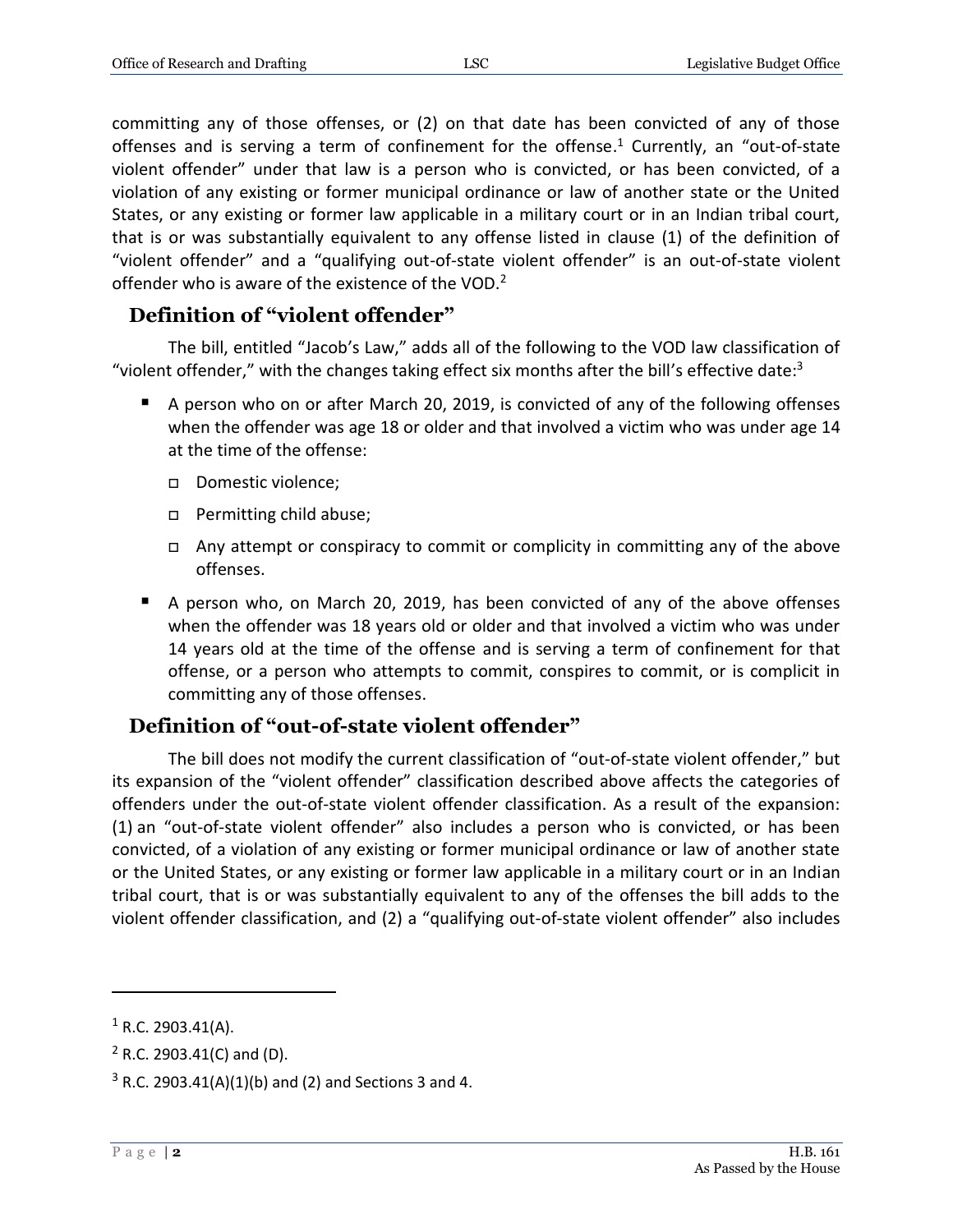committing any of those offenses, or (2) on that date has been convicted of any of those offenses and is serving a term of confinement for the offense. <sup>1</sup> Currently, an "out-of-state violent offender" under that law is a person who is convicted, or has been convicted, of a violation of any existing or former municipal ordinance or law of another state or the United States, or any existing or former law applicable in a military court or in an Indian tribal court, that is or was substantially equivalent to any offense listed in clause (1) of the definition of "violent offender" and a "qualifying out-of-state violent offender" is an out-of-state violent offender who is aware of the existence of the VOD.<sup>2</sup>

# **Definition of "violent offender"**

The bill, entitled "Jacob's Law," adds all of the following to the VOD law classification of "violent offender," with the changes taking effect six months after the bill's effective date:<sup>3</sup>

- A person who on or after March 20, 2019, is convicted of any of the following offenses when the offender was age 18 or older and that involved a victim who was under age 14 at the time of the offense:
	- Domestic violence:
	- □ Permitting child abuse;
	- Any attempt or conspiracy to commit or complicity in committing any of the above offenses.
- A person who, on March 20, 2019, has been convicted of any of the above offenses when the offender was 18 years old or older and that involved a victim who was under 14 years old at the time of the offense and is serving a term of confinement for that offense, or a person who attempts to commit, conspires to commit, or is complicit in committing any of those offenses.

# **Definition of "out-of-state violent offender"**

The bill does not modify the current classification of "out-of-state violent offender," but its expansion of the "violent offender" classification described above affects the categories of offenders under the out-of-state violent offender classification. As a result of the expansion: (1) an "out-of-state violent offender" also includes a person who is convicted, or has been convicted, of a violation of any existing or former municipal ordinance or law of another state or the United States, or any existing or former law applicable in a military court or in an Indian tribal court, that is or was substantially equivalent to any of the offenses the bill adds to the violent offender classification, and (2) a "qualifying out-of-state violent offender" also includes

 $1$  R.C. 2903.41(A).

 $2$  R.C. 2903.41(C) and (D).

 $3$  R.C. 2903.41(A)(1)(b) and (2) and Sections 3 and 4.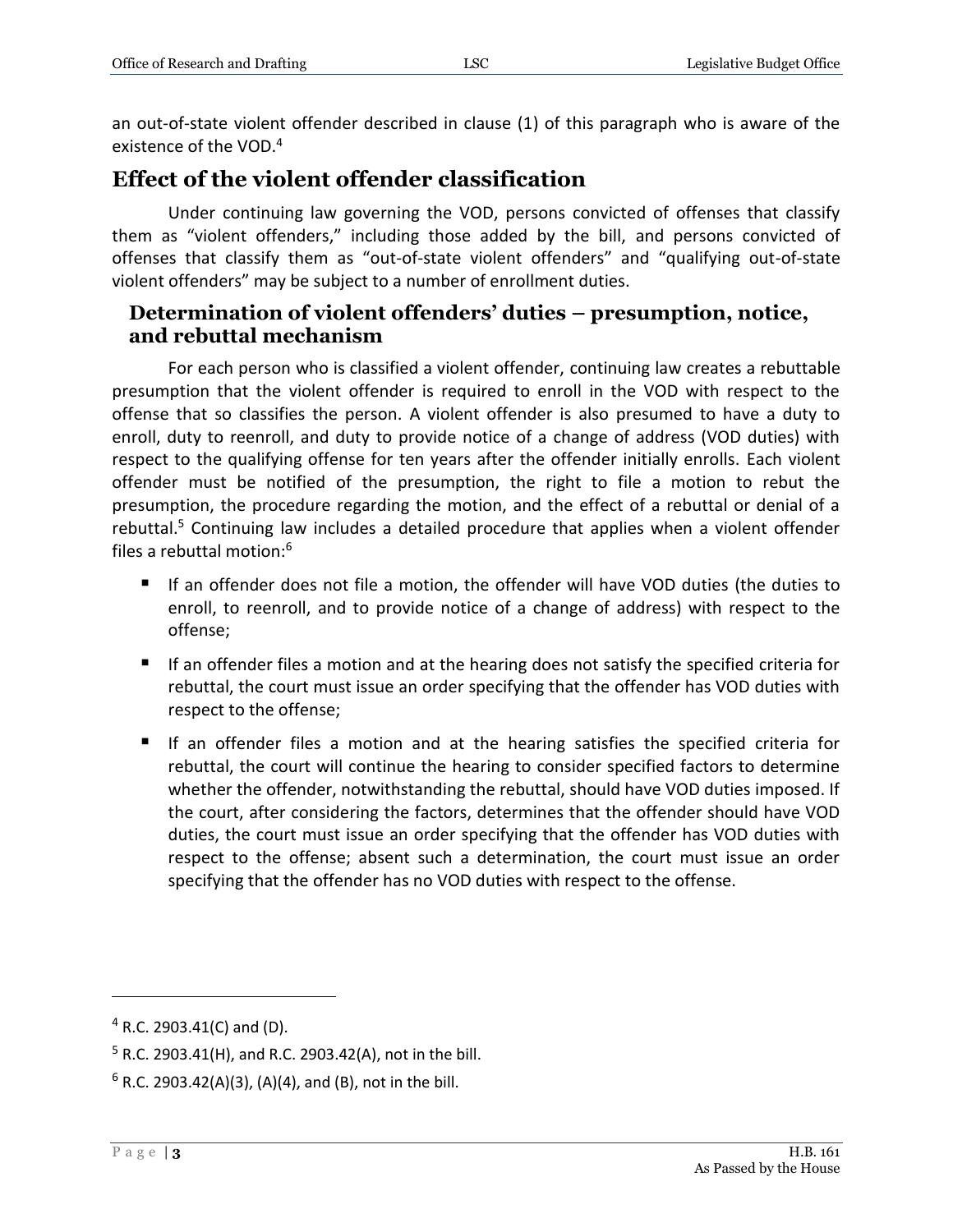an out-of-state violent offender described in clause (1) of this paragraph who is aware of the existence of the VOD.<sup>4</sup>

# **Effect of the violent offender classification**

Under continuing law governing the VOD, persons convicted of offenses that classify them as "violent offenders," including those added by the bill, and persons convicted of offenses that classify them as "out-of-state violent offenders" and "qualifying out-of-state violent offenders" may be subject to a number of enrollment duties.

#### **Determination of violent offenders' duties – presumption, notice, and rebuttal mechanism**

For each person who is classified a violent offender, continuing law creates a rebuttable presumption that the violent offender is required to enroll in the VOD with respect to the offense that so classifies the person. A violent offender is also presumed to have a duty to enroll, duty to reenroll, and duty to provide notice of a change of address (VOD duties) with respect to the qualifying offense for ten years after the offender initially enrolls. Each violent offender must be notified of the presumption, the right to file a motion to rebut the presumption, the procedure regarding the motion, and the effect of a rebuttal or denial of a rebuttal. $<sup>5</sup>$  Continuing law includes a detailed procedure that applies when a violent offender</sup> files a rebuttal motion:<sup>6</sup>

- If an offender does not file a motion, the offender will have VOD duties (the duties to enroll, to reenroll, and to provide notice of a change of address) with respect to the offense;
- If an offender files a motion and at the hearing does not satisfy the specified criteria for rebuttal, the court must issue an order specifying that the offender has VOD duties with respect to the offense;
- If an offender files a motion and at the hearing satisfies the specified criteria for rebuttal, the court will continue the hearing to consider specified factors to determine whether the offender, notwithstanding the rebuttal, should have VOD duties imposed. If the court, after considering the factors, determines that the offender should have VOD duties, the court must issue an order specifying that the offender has VOD duties with respect to the offense; absent such a determination, the court must issue an order specifying that the offender has no VOD duties with respect to the offense.

<sup>4</sup> R.C. 2903.41(C) and (D).

 $5$  R.C. 2903.41(H), and R.C. 2903.42(A), not in the bill.

 $6$  R.C. 2903.42(A)(3), (A)(4), and (B), not in the bill.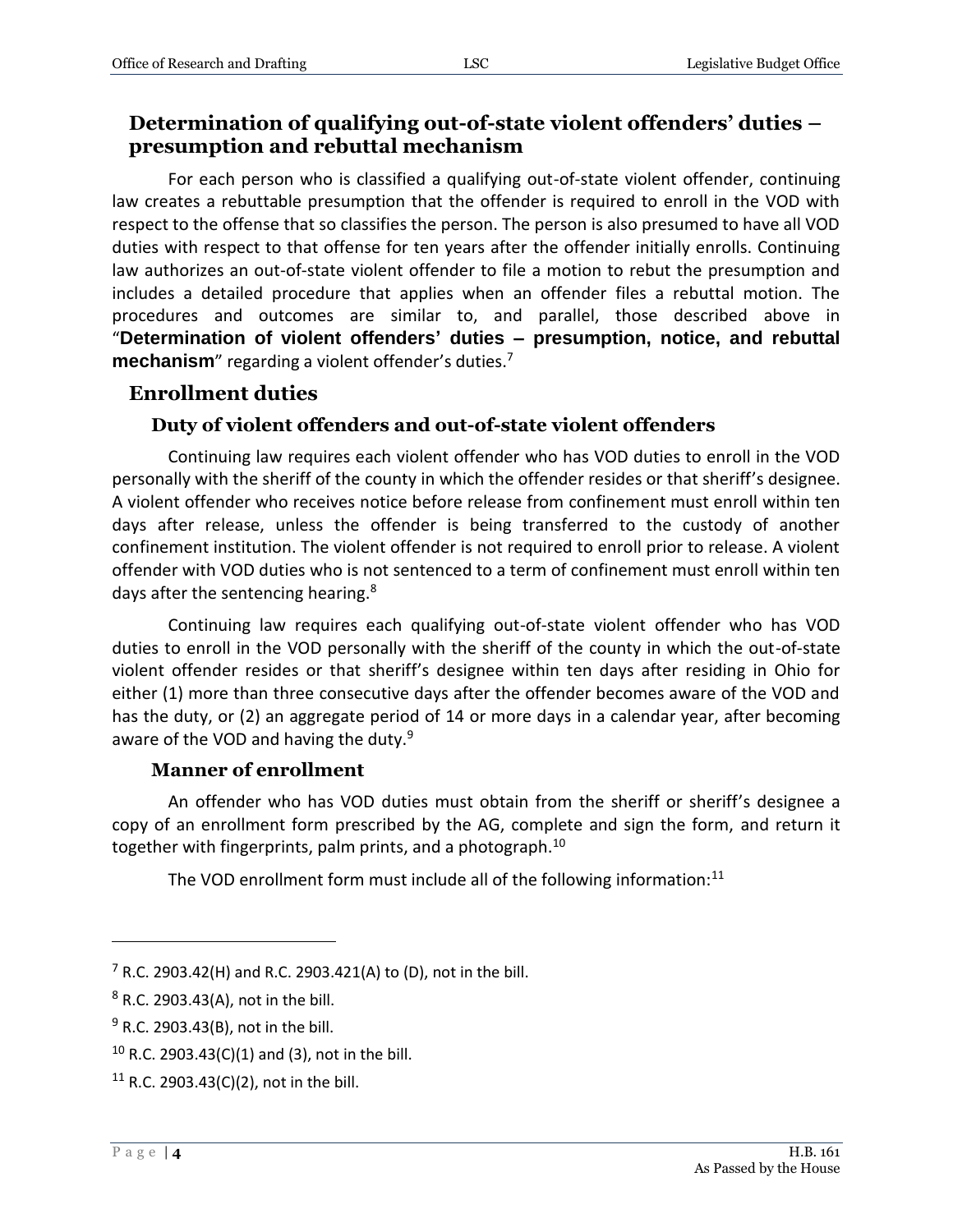#### **Determination of qualifying out-of-state violent offenders' duties – presumption and rebuttal mechanism**

For each person who is classified a qualifying out-of-state violent offender, continuing law creates a rebuttable presumption that the offender is required to enroll in the VOD with respect to the offense that so classifies the person. The person is also presumed to have all VOD duties with respect to that offense for ten years after the offender initially enrolls. Continuing law authorizes an out-of-state violent offender to file a motion to rebut the presumption and includes a detailed procedure that applies when an offender files a rebuttal motion. The procedures and outcomes are similar to, and parallel, those described above in "**Determination of violent offenders' duties – presumption, notice, and rebuttal mechanism**" regarding a violent offender's duties.<sup>7</sup>

# **Enrollment duties**

#### **Duty of violent offenders and out-of-state violent offenders**

Continuing law requires each violent offender who has VOD duties to enroll in the VOD personally with the sheriff of the county in which the offender resides or that sheriff's designee. A violent offender who receives notice before release from confinement must enroll within ten days after release, unless the offender is being transferred to the custody of another confinement institution. The violent offender is not required to enroll prior to release. A violent offender with VOD duties who is not sentenced to a term of confinement must enroll within ten days after the sentencing hearing.<sup>8</sup>

Continuing law requires each qualifying out-of-state violent offender who has VOD duties to enroll in the VOD personally with the sheriff of the county in which the out-of-state violent offender resides or that sheriff's designee within ten days after residing in Ohio for either (1) more than three consecutive days after the offender becomes aware of the VOD and has the duty, or (2) an aggregate period of 14 or more days in a calendar year, after becoming aware of the VOD and having the duty.<sup>9</sup>

#### **Manner of enrollment**

An offender who has VOD duties must obtain from the sheriff or sheriff's designee a copy of an enrollment form prescribed by the AG, complete and sign the form, and return it together with fingerprints, palm prints, and a photograph.<sup>10</sup>

The VOD enrollment form must include all of the following information: $11$ 

 $7$  R.C. 2903.42(H) and R.C. 2903.421(A) to (D), not in the bill.

<sup>8</sup> R.C. 2903.43(A), not in the bill.

<sup>&</sup>lt;sup>9</sup> R.C. 2903.43(B), not in the bill.

 $10$  R.C. 2903.43(C)(1) and (3), not in the bill.

<sup>&</sup>lt;sup>11</sup> R.C. 2903.43(C)(2), not in the bill.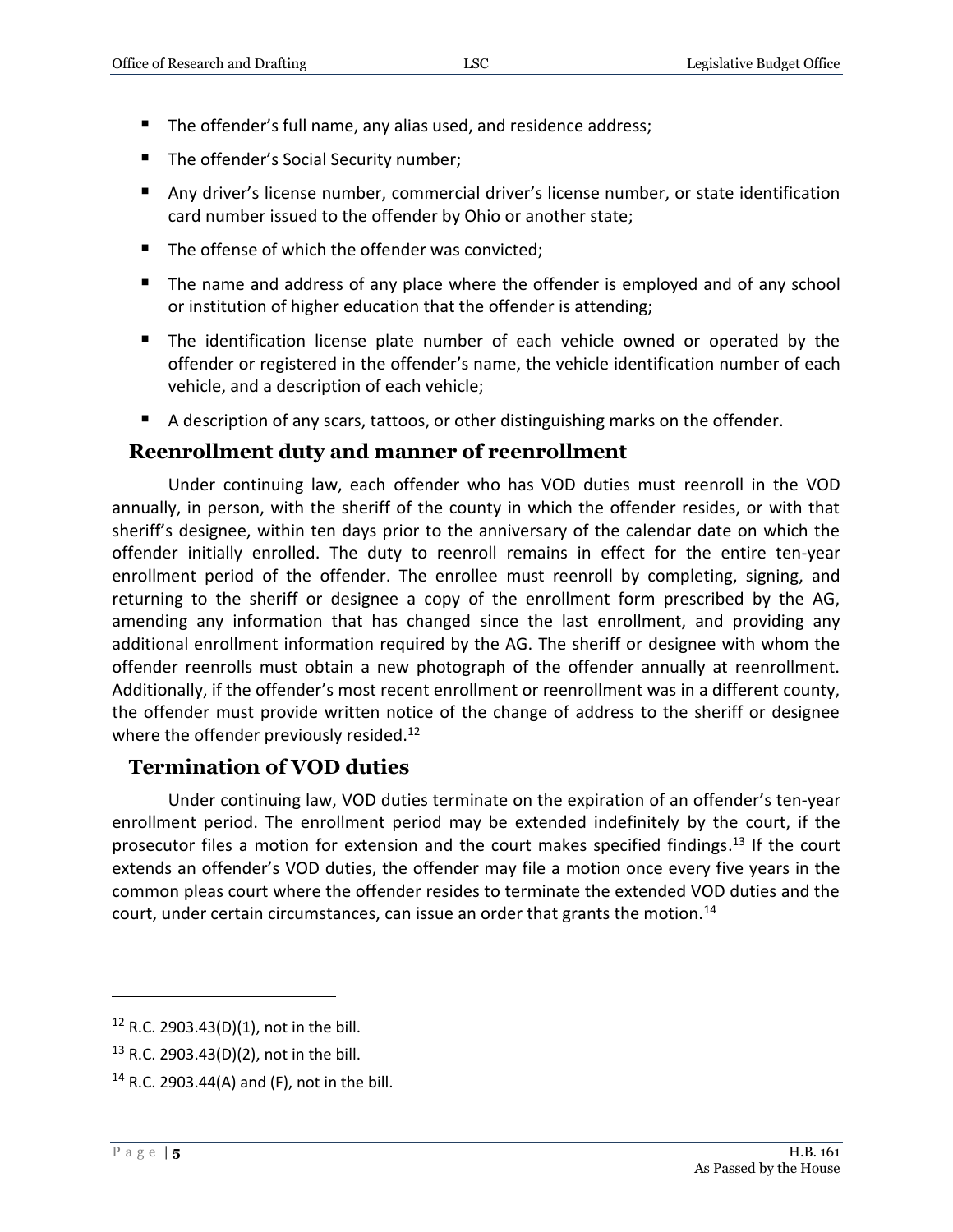- The offender's full name, any alias used, and residence address;
- The offender's Social Security number;
- Any driver's license number, commercial driver's license number, or state identification card number issued to the offender by Ohio or another state;
- The offense of which the offender was convicted;
- The name and address of any place where the offender is employed and of any school or institution of higher education that the offender is attending;
- The identification license plate number of each vehicle owned or operated by the offender or registered in the offender's name, the vehicle identification number of each vehicle, and a description of each vehicle;
- A description of any scars, tattoos, or other distinguishing marks on the offender.

#### **Reenrollment duty and manner of reenrollment**

Under continuing law, each offender who has VOD duties must reenroll in the VOD annually, in person, with the sheriff of the county in which the offender resides, or with that sheriff's designee, within ten days prior to the anniversary of the calendar date on which the offender initially enrolled. The duty to reenroll remains in effect for the entire ten-year enrollment period of the offender. The enrollee must reenroll by completing, signing, and returning to the sheriff or designee a copy of the enrollment form prescribed by the AG, amending any information that has changed since the last enrollment, and providing any additional enrollment information required by the AG. The sheriff or designee with whom the offender reenrolls must obtain a new photograph of the offender annually at reenrollment. Additionally, if the offender's most recent enrollment or reenrollment was in a different county, the offender must provide written notice of the change of address to the sheriff or designee where the offender previously resided.<sup>12</sup>

#### **Termination of VOD duties**

Under continuing law, VOD duties terminate on the expiration of an offender's ten-year enrollment period. The enrollment period may be extended indefinitely by the court, if the prosecutor files a motion for extension and the court makes specified findings.<sup>13</sup> If the court extends an offender's VOD duties, the offender may file a motion once every five years in the common pleas court where the offender resides to terminate the extended VOD duties and the court, under certain circumstances, can issue an order that grants the motion.<sup>14</sup>

 $12$  R.C. 2903.43(D)(1), not in the bill.

<sup>13</sup> R.C. 2903.43(D)(2), not in the bill.

<sup>&</sup>lt;sup>14</sup> R.C. 2903.44(A) and (F), not in the bill.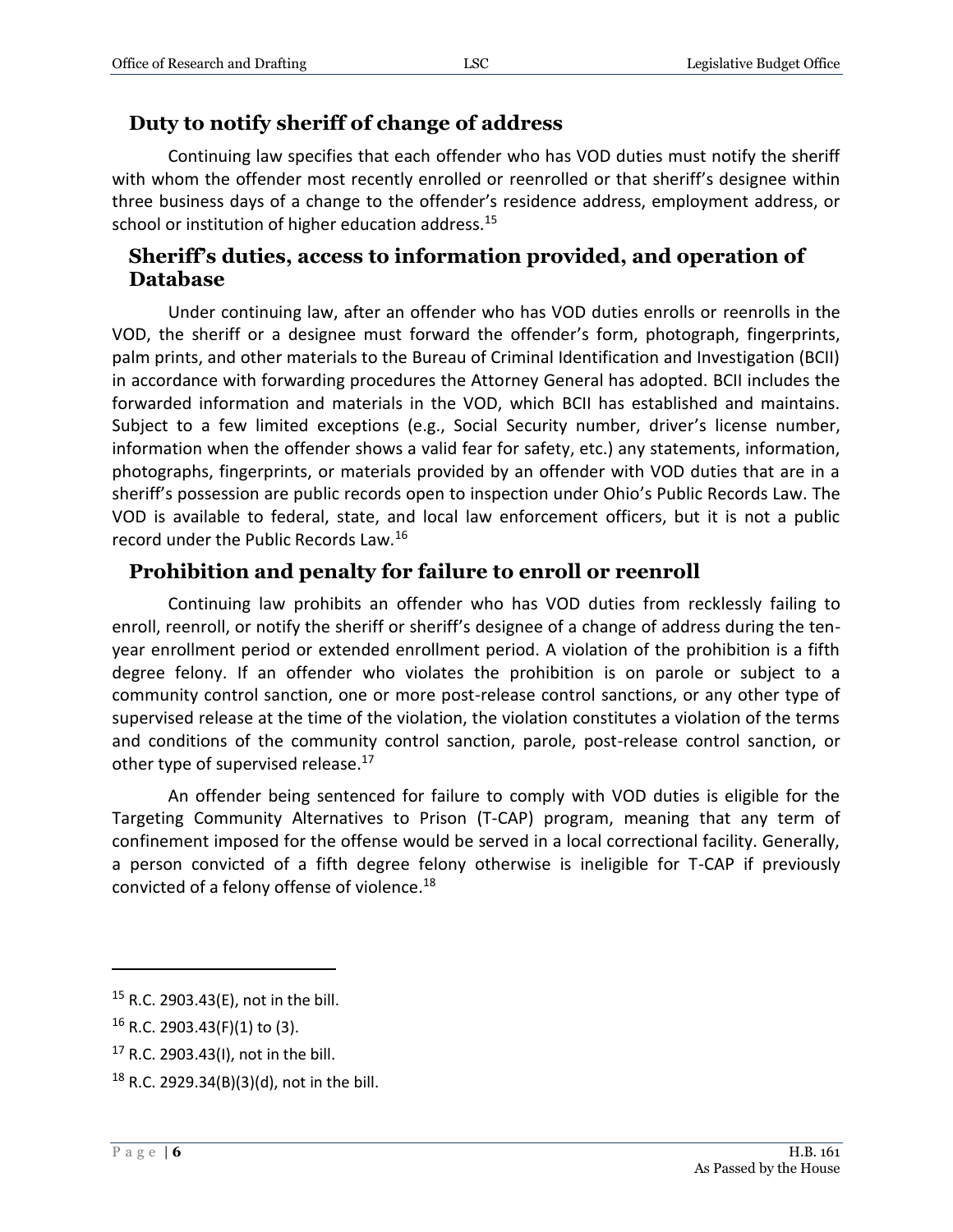## **Duty to notify sheriff of change of address**

Continuing law specifies that each offender who has VOD duties must notify the sheriff with whom the offender most recently enrolled or reenrolled or that sheriff's designee within three business days of a change to the offender's residence address, employment address, or school or institution of higher education address.<sup>15</sup>

## **Sheriff's duties, access to information provided, and operation of Database**

Under continuing law, after an offender who has VOD duties enrolls or reenrolls in the VOD, the sheriff or a designee must forward the offender's form, photograph, fingerprints, palm prints, and other materials to the Bureau of Criminal Identification and Investigation (BCII) in accordance with forwarding procedures the Attorney General has adopted. BCII includes the forwarded information and materials in the VOD, which BCII has established and maintains. Subject to a few limited exceptions (e.g., Social Security number, driver's license number, information when the offender shows a valid fear for safety, etc.) any statements, information, photographs, fingerprints, or materials provided by an offender with VOD duties that are in a sheriff's possession are public records open to inspection under Ohio's Public Records Law. The VOD is available to federal, state, and local law enforcement officers, but it is not a public record under the Public Records Law.<sup>16</sup>

# **Prohibition and penalty for failure to enroll or reenroll**

Continuing law prohibits an offender who has VOD duties from recklessly failing to enroll, reenroll, or notify the sheriff or sheriff's designee of a change of address during the tenyear enrollment period or extended enrollment period. A violation of the prohibition is a fifth degree felony. If an offender who violates the prohibition is on parole or subject to a community control sanction, one or more post-release control sanctions, or any other type of supervised release at the time of the violation, the violation constitutes a violation of the terms and conditions of the community control sanction, parole, post-release control sanction, or other type of supervised release.<sup>17</sup>

An offender being sentenced for failure to comply with VOD duties is eligible for the Targeting Community Alternatives to Prison (T-CAP) program, meaning that any term of confinement imposed for the offense would be served in a local correctional facility. Generally, a person convicted of a fifth degree felony otherwise is ineligible for T-CAP if previously convicted of a felony offense of violence.<sup>18</sup>

<sup>15</sup> R.C. 2903.43(E), not in the bill.

<sup>16</sup> R.C. 2903.43(F)(1) to (3).

<sup>17</sup> R.C. 2903.43(I), not in the bill.

 $18$  R.C. 2929.34(B)(3)(d), not in the bill.